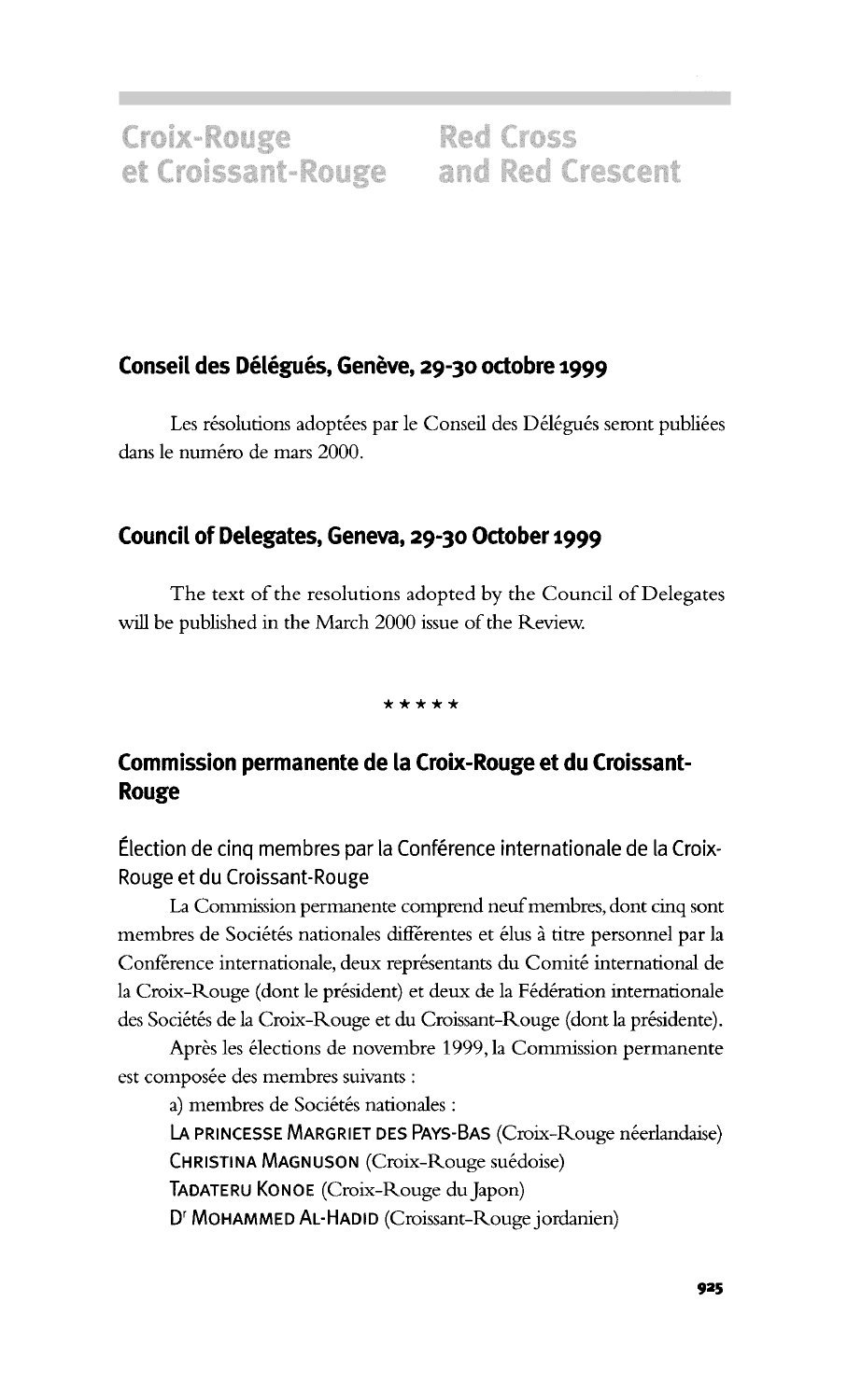## **Conseil des Delegues, Geneve, 29-30 octobre 1999**

Les résolutions adoptées par le Conseil des Délégués seront publiées dans le numéro de mars 2000.

## **Council of Delegates, Geneva, 29-30 October 1999**

The text of the resolutions adopted by the Council of Delegates will be published in the March 2000 issue of the Review.

**\* • • • \***

## **Commission permanente de la Croix-Rouge et du Croissant-Rouge**

Election de cinq membres par la Conference internationale de la Croix-Rouge et du Croissant-Rouge

La Commission permanente comprend neuf membres, dont cinq sont membres de Sociétés nationales différentes et élus à titre personnel par la Conférence internationale, deux représentants du Comité international de la Croix-Rouge (dont le président) et deux de la Fédération internationale des Sociétés de la Croix-Rouge et du Croissant-Rouge (dont la présidente).

Après les élections de novembre 1999, la Commission permanente est composée des membres suivants :

a) membres de Sociétés nationales :

LA PRINCESSE MARGRIET DES PAYS-BAS (Croix-Rouge néerlandaise) CHRISTINA MAGNUSON (Croix-Rouge suedoise)

TADATERU KONOE (Croix-Rouge du Japon)

Dr MOHAMMED AL-HADID (Croissant-Rouge jordanien)